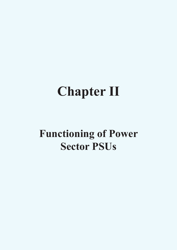# **Chapter II**

## **Functioning of Power Sector PSUs**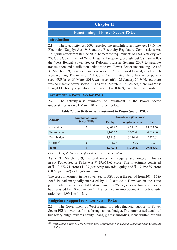## **Chapter II**

## **Functioning of Power Sector PSUs**

#### **Introduction**

**2.1** The Electricity Act 2003 repealed the erstwhile Electricity Act 1910, the Electricity (Supply) Act 1948 and the Electricity Regulatory Commissions Act 1998, with effect from 10June 2003. To meet the requirements of The Electricity Act 2003, the Government of West Bengal, subsequently, brought out (January 2007) the West Bengal Power Sector Reforms Transfer Scheme 2007 to separate transmission and distribution activities to two Power Sector undertakings. As of 31 March 2019, there were six power-sector PSUs in West Bengal, all of which were working. The name of DPL Coke Oven Limited, the only inactive powersector PSU as on 31 March 2018, was struck off on 21 January 2019. Hence, there was no inactive power-sector PSU as of 31 March 2019. Besides, there was West Bengal Electricity Regulatory Commission (WBERC), a regulatory authority.

#### **Investment in Power Sector PSUs**

**2.2** The activity-wise summary of investment in the Power Sector undertakings as on 31 March 2019 is given below:

| <b>Activity</b>       | <b>Number of Power</b> | Investment $(\bar{\bar{\zeta}})$ in crore) |                 |              |  |  |
|-----------------------|------------------------|--------------------------------------------|-----------------|--------------|--|--|
|                       | <b>Sector PSUs</b>     | <b>Equity</b>                              | Long-term loans | <b>Total</b> |  |  |
| Generation            | $\mathfrak{D}$         | 8,807.82                                   | 9,215.78        | 18,023.60    |  |  |
| Transmission          |                        | 1,105.52                                   | 2,952.48        | 4,058.00     |  |  |
| Distribution          |                        | 2,354.31                                   | 5,216.31        | 7,570.62     |  |  |
| Others <sup>159</sup> | $\mathfrak{D}$         | 5.09                                       | 6.32            | 11.41        |  |  |
| <b>Total</b>          |                        | 12,272.74                                  | 17,390.89       | 29,663.63    |  |  |

**Table 2.1: Activity-wise investment in Power Sector PSUs**

*(Source: Compiled based on information received from PSUs)* 

As on 31 March 2019, the total investment (equity and long-term loans) in six Power Sector PSUs was  $\bar{\tau}$  29,663.63 crore. The investment consisted of  $\bar{\tau}$  12,272.74 crore (41.37 *per cent)* towards equity and  $\bar{\tau}$  17,390.89 crore (58.63 *per cent*) as long-term loans.

The gross investment in the Power Sector PSUs over the period from 2014-15 to 2018-19 had marginally increased by 1.13 *per cent*. However, in the same period while paid-up capital had increased by 25.07 *per cent*, long-term loans had reduced by 10.90 *per cent*. This resulted in improvement in debt-equity ratio from 1.99:1 to 1.42:1.

## **Budgetary Support to Power Sector PSUs**

**2.3** The Government of West Bengal provides financial support to Power Sector PSUs in various forms through annual budget. The summarised details of budgetary outgo towards equity, loans, grants/ subsidies, loans written off and

<sup>159</sup> *West Bengal Green Energy Development Corporation Limited and Bengal Birbhum Coalfields Limited.*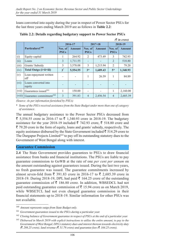loans converted into equity during the year in respect of Power Sector PSUs for the last three years ending March 2019 are as follows in **Table 2.2**:

|        | $(3 \nvert n \nvert c)$             |                        |               |                        |               |                        |               |  |
|--------|-------------------------------------|------------------------|---------------|------------------------|---------------|------------------------|---------------|--|
|        |                                     | 2016-17                |               | 2017-18                |               | 2018-19                |               |  |
|        | Particulars1 <sup>160</sup>         | Nos. of<br><b>PSUs</b> | <b>Amount</b> | Nos. of<br><b>PSUs</b> | <b>Amount</b> | Nos. of<br><b>PSUs</b> | <b>Amount</b> |  |
| (i)    | Equity capital                      |                        | 264.92        | $\mathfrak{D}$         | 473.49        | 3                      | 742.93        |  |
| (ii)   | Loans                               | 3                      | 1,711.55      |                        |               | $\overline{2}$         | 518.80        |  |
| (iii)  | Grants/ Subsidy                     | 3                      | 3,578.08      | 3                      | 1,215.94      | $\overline{2}$         | 79.20         |  |
| (iv)   | Total Outgo (i+ii+iii)              | $3^*$                  | 5,554.55      | $3*$                   | 1,689.43      | $5*$                   | 1,340.93      |  |
| (v)    | Loan repayment written<br>$\alpha$  |                        |               | 1                      | 26.59         | 1                      | 84.89         |  |
| (vi)   | Loans converted into<br>equity      |                        |               |                        |               |                        |               |  |
| (vii)  | Guarantees issued <sup>161</sup>    |                        | 150.00        |                        |               | 1                      | 2,160.00      |  |
| (viii) | Guarantee commitment <sup>162</sup> | 3                      | 391.83        | $\overline{4}$         | 2,456.54      | $\overline{4}$         | 2,685.39      |  |

|  |  |  | Table 2.2: Details regarding budgetary support to Power Sector PSUs |
|--|--|--|---------------------------------------------------------------------|
|  |  |  |                                                                     |

*(Source: As per information furnished by PSUs)* 

\* *Some of the PSUs received assistance from the State Budget under more than one of category of assistance*.

The annual budgetary assistance to the Power Sector PSUs decreased from  $\bar{\xi}$  5,554.55 crore in 2016-17 to  $\bar{\xi}$  1,340.93 crore in 2018-19. The budgetary assistance for the year 2018-19 included  $\bar{\tau}$  742.93 crore,  $\bar{\tau}$  518.80 crore and  $\bar{\tau}$  79.20 crore in the form of equity, loans and grants/ subsidy, respectively. The equity assistance disbursed by the State Government included  $\bar{\tau}$  514.29 crore to The Durgapur Projects Limited<sup>163</sup> to pay off its outstanding statutory dues to the Government of West Bengal along with interest.

## **Guarantee Commission**

**2.4** The State Government provides guarantees to PSUs to draw financial assistance from banks and financial institutions. The PSUs are liable to pay guarantee commission to GoWB at the rate of one *per cent per annum* on the amount outstanding against guarantees issued. During the last two years, no fresh guarantee was issued. The guarantee commitments increased by almost seven-fold from  $\overline{\xi}$  391.83 crore in 2016-17 to  $\overline{\xi}$  2,685.39 crore in 2018-19. During 2018-19, DPL had paid  $\bar{\tau}$  164.25 crore of the outstanding guarantee commission of  $\bar{\tau}$  186.80 crore. In addition, WBSEDCL had not paid outstanding guarantee commission of  $\bar{\tau}$  15.94 crore as on March 2019, while WBSETCL had not even charged guarantee commission in their financial statements up to 2018-19. Similar information for other PSUs was not available.

<sup>160</sup> *Amount represents outgo from State Budget only.*

<sup>161</sup> *Government guarantees issued to the PSUs during a particular year.*

<sup>162</sup> *Closing balance of Government guarantee in respect of PSUs at the end of a particular year.*

<sup>163</sup> *Disbursed in March 2019 with explicit instructions to utilise the entire amount, to pay to the Government of West Bengal, DPL's statutory dues and interest thereon towards electricity duty*   $($  $\bar{\mathcal{R}}$  *298.25 crore*), land revenue  $($  $\bar{\mathcal{R}}$  *51.79 crore*) and guarantee fees  $($  $\bar{\mathcal{R}}$  *164.25 crore*).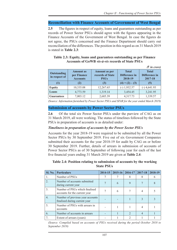*(*` *in crore)*

## **Reconciliation with Finance Accounts of Government of West Bengal**

**2.5** The figures in respect of equity, loans and guarantees outstanding as per records of Power Sector PSUs should agree with the figures appearing in the Finance Accounts of the Government of West Bengal. In case the figures do not agree, the PSUs concerned and the Finance Department should carry out reconciliation of the differences. The position in this regard as on 31 March 2019 is stated in **Table 2.3**:

#### **Table 2.3: Equity, loans and guarantees outstanding as per Finance Accounts of GoWB** *vis-à-vis* **records of State PSUs**

| Outstanding<br>in respect of | <b>Amount</b> as<br>per Finance<br><b>Accounts</b> | <b>Amount as per</b><br>records of State<br><b>PSUs</b> | <b>Total</b><br>Difference in<br>2018-19 | <b>Total</b><br>Difference in<br>2017-18 |
|------------------------------|----------------------------------------------------|---------------------------------------------------------|------------------------------------------|------------------------------------------|
| $\left(1\right)$             | (2)                                                | (3)                                                     | $(4) = (2) - (3)$                        | (5)                                      |
| <b>Equity</b>                | 10,335.08                                          | 12,267.65                                               | $(-) 1,932.57$                           | $(-)$ 4,641.93                           |
| Loans                        | 4,773.59                                           | 1,319.14                                                | 3,454.45                                 | 3,241.95                                 |
| <b>Guarantees</b>            | 7,003.12                                           | 2,685.39                                                | 4,317.73                                 | 1,339.57                                 |

*(Source: Information furnished by Power Sector PSUs and SFAR for the year ended March 2019)*

## **Submission of accounts by Power Sector PSUs**

2.6 Of the total six Power Sector PSUs under the purview of CAG as on 31 March 2019, all were working. The status of timelines followed by the State PSUs in preparation of accounts is as detailed under:

## *Timeliness in preparation of accounts by the Power Sector PSUs*

Accounts for the year 2018-19 were required to be submitted by all the Power Sector PSUs by 30 September 2019. Five out of six Government Companies submitted their accounts for the year 2018-19 for audit by CAG on or before 30 September 2019. Further, details of arrears in submission of accounts of Power Sector PSUs as of 30 September of following year for each of the last five financial years ending 31 March 2019 are given at **Table 2.4**:

## **Table 2.4: Position relating to submission of accounts by the working State PSUs**

| <b>Sl. No.</b>              | <b>Particulars</b>                                                | $2014 - 15$ | $2015 - 16$ | 2016-17        | 2017-18 | 2018-19 |
|-----------------------------|-------------------------------------------------------------------|-------------|-------------|----------------|---------|---------|
|                             | Number of PSUs                                                    |             |             | 8              | 8       | h       |
| $\mathcal{D}_{\mathcal{L}}$ | Number of accounts submitted<br>during current year               |             | 6           |                |         |         |
| 3.                          | Number of PSUs which finalised<br>accounts for the current year   |             | 6           |                |         |         |
| $\overline{4}$ .            | Number of previous year accounts<br>finalised during current year |             |             |                |         |         |
| .5.                         | Number of PSUs with arrears in<br>accounts                        |             |             |                |         |         |
| 6.                          | Number of accounts in arrears                                     |             |             | $\mathfrak{D}$ | 4       |         |
|                             | Extent of arrears (years)                                         |             |             |                |         |         |

*(Source: Compiled based on accounts of PSUs received during the period October 2018 to September 2019)*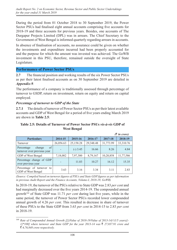During the period from 01 October 2018 to 30 September 2019, the Power Sector PSUs had finalised eight annual accounts comprising five accounts for 2018-19 and three accounts for previous years. Besides, one accounts of The Durgapur Projects Limited (DPL) was in arrears. The Chief Secretary to the Government of West Bengal is informed quarterly regarding arrears in accounts.

In absence of finalisation of accounts, no assurance could be given on whether the investments and expenditure incurred had been properly accounted for and the purpose for which the amount was invested was achieved. The GoWB investment in this PSU, therefore, remained outside the oversight of State Legislature.

## **Performance of Power Sector PSUs**

**2.7** The financial position and working results of the six Power Sector PSUs as per their latest finalised accounts as on 30 September 2019 are detailed in *Appendix-9.*

The performance of a company is traditionally assessed through percentage of turnover to GSDP, return on investment, return on equity and return on capital employed.

## *Percentage of turnover to GDP of the State*

**2.7.1** The details of turnover of Power Sector PSUs as per their latest available accounts and GDP of West Bengal for a period of five years ending March 2019 are shown in **Table 2.5**:

## **Table 2.5: Details of Turnover of Power Sector PSUs** *vis-à-vis* **GDP of West Bengal**

|                                                           |           |            |           |           | $(3 \nvert n \text{ error})$ |
|-----------------------------------------------------------|-----------|------------|-----------|-----------|------------------------------|
| <b>Particulars</b>                                        | 2014-15   | 2015-16    | 2016-17   | 2017-18   | 2018-19                      |
| Turnover                                                  | 26,056.63 | 25,158.28  | 29,348.48 | 31,773.99 | 33,310.76                    |
| of<br>change<br>Percentage<br>turnover over previous year |           | $(-)$ 3.45 | 16.66     | 8.26      | 4.84                         |
| GDP of West Bengal                                        | 7,18,082  | 7,97,300   | 8,79,167  | 10,20,858 | 11,77,586                    |
| Percentage change of GDP<br>over previous year            |           | 11.03      | 10.27     | 16.12     | 15.35                        |
| Percentage of turnover to<br>GDP of West Bengal           | 3.63      | 3.16       | 3.34      | 3.11      | 2.83                         |

*(Source: Compiled based on turnover figures of PSUs and State GDP figures as per information in previous Audit Report and the Finance Accounts, Volume‑I, 2018‑19, GoWB)*

In 2018-19, the turnover of the PSUs relative to State GDP was 2.83 *per cent* and had marginally decreased over the five years 2014–19. The compounded annual growth164 of State GDP was 11.71 *per cent* during last five years, while in the same period, the turnover of Power Sector PSUs recorded lower compounded annual growth of 4.26 *per cent*. This resulted in decrease in share of turnover of these PSUs to the State GDP from 3.63 *per cent* in 2014-15 to 2.83 *per cent* in 2018-19.

<sup>&</sup>lt;sup>164</sup> Rate of Compounded Annual Growth [[{(Value of 2018-19/Value of 2013-14) $\gamma$ (1/5 years)}- $1$ <sup>\*</sup>100] where turnover and State GDP for the year 2013-14 was  $\bar{\zeta}$  27,037.91 crore and ` *6,76,848 crore respectively.*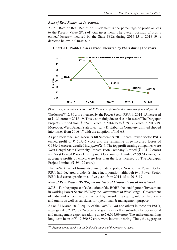## *Rate of Real Return on Investment*

**2.7.2** Rate of Real Return on Investment is the percentage of profit or loss to the Present Value (PV) of total investment. The overall position of profits earned/ losses<sup>165</sup> incurred by the State PSUs during 2014-15 to 2018-19 is depicted below in **Chart 2.1**:



**Chart 2.1: Profit/ Losses earned/ incurred by PSUs during the years**

(Source: *As per latest accounts as of 30 September following the respective financial years)*

The loss of  $\bar{\tau}$  12.30 crore incurred by the Power Sector PSUs in 2014-15 increased to  $\bar{\tau}$  131 crore in 2018-19. This was mainly due to rise in losses of The Durgapur Projects Limited from  $\bar{\mathfrak{F}}$  324.60 crore in 2014-15 to  $\bar{\mathfrak{F}}$  591.22 crore in 2018-19. Moreover, West Bengal State Electricity Distribution Company Limited slipped into losses from 2016-17 with the adoption of Ind AS.

As per latest finalised accounts till September 2019, three Power Sector PSUs earned profit of  $\bar{\tau}$  505.46 crore and the remaining three incurred losses of ` 636.46 crore as detailed in *Appendix-9*. The top profit earning companies were West Bengal State Electricity Transmission Company Limited ( $\bar{\tau}$  404.72 crore) and West Bengal Power Development Corporation Limited ( $\bar{\tau}$  99.61 crore), the aggregate profits of which were less than the loss incurred by The Durgapur Project Limited ( $\bar{\mathfrak{F}}$  591.22 crore).

The GoWB has not formulated any dividend policy. None of the Power Sector PSUs had declared dividends since incorporation, although two Power Sector PSUs had earned profits in all five years from 2014-15 to 2018-19.

## *Rate of Real Return (RORR) on the basis of historical cost of investment*

**2.7.3** For the purpose of calculation of the RORR the total figure of Investment in working Power Sector PSUs by the Government of West Bengal, Government of India and others has been arrived by considering equity, interest free loans and grants as well as subsidies for operational & management purpose.

As on 31 March 2019, equity of the GoWB, GoI and others in these six PSUs, aggregated to  $\bar{\tau}$  12,272.74 crore and grants as well as subsidies for operational and management expenses adding up to  $\bar{\tau}$  6,095.09 crore. The entire outstanding long-term loans of  $\bar{\tau}$  17,390.89 crore were interest-bearing. Thus, the aggregate

<sup>165</sup> *Figures are as per the latest finalised accounts of the respective years.*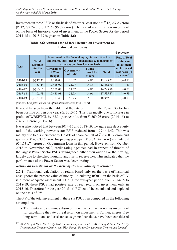investment in these PSUs on the basis of historical cost stood at  $\bar{\tau}$  18,367.83 crore  $(\bar{\mathbf{\xi}})$  12,272.74 crore +  $\bar{\mathbf{\xi}}$  6,095.09 crore). The rate of real return on investment on the basis of historical cost of investment in the Power Sector for the period 2014-15 to 2018-19 is given in **Table 2.6:**

|         |                                 |                                                                                                                                                  |                                                       |                                       |              | $(3 \nvert n \text{ error})$                         |
|---------|---------------------------------|--------------------------------------------------------------------------------------------------------------------------------------------------|-------------------------------------------------------|---------------------------------------|--------------|------------------------------------------------------|
| Year    | <b>Total</b><br><b>Earnings</b> | Investment in the form of equity, interest free loans<br>and grants/ subsidies for operational & management<br>expenses on historical cost basis | <b>Rate of Real</b><br><b>Return on</b><br>investment |                                       |              |                                                      |
|         | for the<br>year                 | <b>Government</b><br>of West<br><b>Bengal</b>                                                                                                    | <b>Government</b><br>of India                         | <b>Funds</b><br>invested by<br>others | <b>Total</b> | on historical<br>cost basis (in<br><i>per cent</i> ) |
| 2014-15 | $(-) 12.30$                     | 11,170.08                                                                                                                                        | 10.37                                                 | 14.86                                 | 11,195.31    | $(-) 0.11$                                           |
| 2015-16 | 153.44                          | 12,416.07                                                                                                                                        | 21.77                                                 | 14.86                                 | 12,452.70    | 1.23                                                 |
| 2016-17 | $(-) 83.16$                     | 16,259.07                                                                                                                                        | 21.77                                                 | 14.86                                 | 16,295.70    | $(-) 0.51$                                           |
| 2017-18 | $(-) 102.98$                    | 17,488.98                                                                                                                                        | 31.93                                                 | 14.96                                 | 17,535.87    | $(-) 0.59$                                           |
| 2018-19 | $(-)$ 131.00                    | 18,307.48                                                                                                                                        | 55.25                                                 | 5.10                                  | 18,367.83    | $(-) 0.71$                                           |

## **Table 2.6: Annual rate of Real Return on Investment on historical cost basis**

*(Source: Compiled based on information received from PSUs)*

It would be seen from the table that the rate of return in the Power Sector has been positive only in one year *viz*. 2015-16. This was mostly due to increase in profits of WBSETCL by 62.34 *per cent i.e.* from  $\bar{\mathfrak{c}}$  269.26 crore (2014-15) to ₹ 437.11 crore (2015-16).

It was also noticed that between 2014-15 and 2018-19, the aggregate debt equity ratio of the working power-sector PSUs reduced from 1.99 to 1.42. This was mainly due to disbursement by GoWB of share capital of  $\bar{\tau}$  2,460.17 crore and grants of  $\bar{\tau}$  4,563.16 crore for paying principal ( $\bar{\tau}$  3,031.42 crore) and interest  $(\bar{\mathcal{F}} 1,531.74$  crore) on Government loans in this period. However, from October  $2018$  to November 2020, credit rating agencies had in respect of three<sup>166</sup> of the largest Power Sector PSUs downgraded either their outlook or their rating, largely due to stretched liquidity and rise in receivables. This indicated that the performance of the Power Sector was deteriorating.

## *Return on Investment on the basis of Present Value of Investment*

**2.7.4** Traditional calculation of return based only on the basis of historical cost ignores the present value of money. Calculating RORR on the basis of PV is a more adequate assessment. During the five-year period from 2014–15 to 2018-19, these PSUs had positive rate of real return on investment only in 2015-16. Therefore for the year 2015-16, ROI could be calculated and depicted on the basis of PV.

The PV of the total investment in these six PSUs was computed on the following assumptions:

• The equity infused minus disinvestment has been reckoned as investment for calculating the rate of real return on investments. Further, interest free long-term loans and assistance as grants/ subsidies have been considered

<sup>166</sup> *West Bengal State Electricity Distribution Company Limited, West Bengal State Electricity Transmission Company Limited and West Bengal Power Development Corporation Limited.*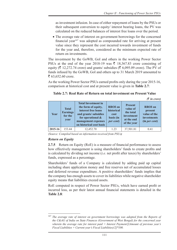as investment infusion. In case of either repayment of loans by the PSUs or their subsequent conversion to equity/ interest bearing loans, the PV was calculated on the reduced balances of interest free loans over the period.

• The average rate of interest on government borrowings for the concerned financial year<sup>167</sup> was adopted as compounded rate for arriving at present value since they represent the cost incurred towards investment of funds for the year and, therefore, considered as the minimum expected rate of return on investments.

The investment by the GoWB, GoI and others in the working Power Sector PSUs at the end of the year 2018-19 was  $\bar{\tau}$  18,367.83 crore consisting of equity ( $\bar{\tau}$  12,272.74 crore) and grants/ subsidies ( $\bar{\tau}$  6,095.09 crore). The PV of funds infused by the GoWB, GoI and others up to 31 March 2019 amounted to  $\bar{5}63,652,60$  crore.

As the working Power Sector PSUs earned profits only during the year 2015-16, comparison at historical cost and at present value is given in **Table 2.7**:

**Table 2.7: Real Rate of Return on total investment on Present Value**

|         |                                                    |                                                                                                                                                                              |                                                                |                                                                                    | $(3 \nvert n \text{ error})$                                                     |
|---------|----------------------------------------------------|------------------------------------------------------------------------------------------------------------------------------------------------------------------------------|----------------------------------------------------------------|------------------------------------------------------------------------------------|----------------------------------------------------------------------------------|
| Year    | <b>Total</b><br><b>Earnings</b><br>for the<br>year | <b>Total Investment in</b><br>the form of equity,<br>interest free loans<br>and grants/ subsidies<br>for operational $\&$<br>management expenses<br>on historical cost basis | <b>RROI</b> on<br>historical<br>cost<br>basis (in<br>per cent) | <b>Present</b><br>value of<br>the total<br>investment<br>at the end<br>of the year | <b>RROI</b> on<br>present<br>value of the<br><i>investments</i><br>(in per cent) |
| 2015-16 | 153.44                                             | 12,452.70                                                                                                                                                                    | 1.23                                                           | 37,501.81                                                                          | 0.41                                                                             |

*(Source: Compiled based on information received from PSUs)*

## *Return on Equity*

**2.7.5** Return on Equity (RoE) is a measure of financial performance to assess how effectively management is using shareholders' funds to create profits and is calculated by dividing net income (*i.e.* net profit after taxes) by shareholders' funds, expressed as a percentage.

Shareholders' funds of a Company is calculated by adding paid up capital including share application money and free reserves net of accumulated losses and deferred revenue expenditure. A positive shareholders' funds implies that the company has enough assets to cover its liabilities while negative shareholder equity means that liabilities exceed assets.

RoE computed in respect of Power Sector PSUs, which have earned profit or incurred loss, as per their latest annual financial statements is detailed in the **Table 2.8**:

<sup>167</sup> *The average rate of interest on government borrowings was adopted from the Reports of the C&AG of India on State Finances (Government of West Bengal) for the concerned year wherein the average rate for interest paid = Interest Payment/[(Amount of previous year's Fiscal Liabilities + Current year's Fiscal Liabilities)/2]\*100.*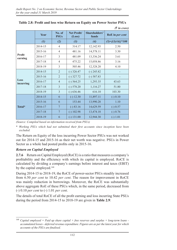|                   |                            |                       |                       |                        | $(3 \nvert n \text{ error})$ |
|-------------------|----------------------------|-----------------------|-----------------------|------------------------|------------------------------|
|                   | <b>Year</b>                | No. of<br><b>PSUs</b> | Net Profit/<br>(Loss) | Shareholders'<br>funds | RoE in per cent              |
|                   | $\left( \mathbf{I}\right)$ | (2)                   | (3)                   | (4)                    | $(5)=\{(3)/(4)\}$ *100       |
|                   | 2014-15                    | $\overline{4}$        | 314.17                | 12,142.93              | 2.50                         |
|                   | 2015-16                    | $\overline{4}$        | 481.16                | 14,578.11              | 3.30                         |
| Profit<br>earning | 2016-17                    | 3                     | 481.09                | 13,336.24              | 3.61                         |
|                   | 2017-18                    | $\overline{4}$        | 475.22                | 15,058.86              | 3.16                         |
|                   | 2018-19                    | 3                     | 505.46                | 12,328.20              | 4.10                         |
|                   | 2014-15                    | $\overline{2}$        | $(-)$ 326.47          | $(-)$ 245.82           |                              |
|                   | 2015-16                    | $\overline{2}$        | $(-)$ 327.72          | $(-) 587.83$           |                              |
| Loss<br>incurring | 2016-17                    | $\overline{4}$        | $(-) 564.25$          | 1,293.35               | 43.63                        |
|                   | 2017-18                    | $\overline{3}$        | $(-) 578.20$          | 1,116.27               | 51.80                        |
|                   | 2018-19                    | $\overline{3}$        | $(-) 636.46$          | 616.10                 | 103.30                       |
|                   | 2014-15                    | 6                     | $(-) 12.30$           | 11,897.11              | $(-) 0.10$                   |
|                   | 2015-16                    | 6                     | 153.44                | 13,990.28              | 1.10                         |
| Total*            | 2016-17                    | $7\phantom{.0}$       | $(-) 83.16$           | 14,629.59              | $(-) 0.57$                   |
|                   | 2017-18                    | $\overline{7}$        | $(-) 102.98$          | 13,474.18              | $(-) 0.76$                   |
|                   | 2018-19                    | 6                     | $(-) 131.00$          | 12,944.30              | $(-) 1.01$                   |

## **Table 2.8: Profit and loss wise Return on Equity on Power Sector PSUs**

*(Source: Compiled based on information received from PSUs)*

\* *Working PSUs which had not submitted their first accounts since inception have been excluded.*

The Return on Equity of the loss incurring Power Sector PSUs was not worked out for 2014-15 and 2015-16 as their net worth was negative. PSUs in Power Sector as a whole had posted profits only in 2015-16.

## *Return on Capital Employed*

**2.7.6** Return on Capital Employed (RoCE) is a ratio that measures a company's profitability and the efficiency with which its capital is employed. RoCE is calculated by dividing a company's earnings before interest and taxes (EBIT) by the capital employed.<sup>168</sup>

During 2014-15 to 2018-19, the RoCE of power-sector PSUs steadily increased from 6.50 *per cent* to 10.42 *per cent*. The reason for improvement in RoCE was mainly reduction in borrowings. Moreover, the RoCE was substantially above aggregate RoE of these PSUs which, in the same period, decreased from (-) 0.10 *per cent* to (-) 1.01 *per cent*.

The details of total RoCE of all the profit earning and loss incurring State PSUs during the period from 2014-15 to 2018-19 are given in **Table 2.9**:

<sup>168</sup> *Capital employed = Paid up share capital + free reserves and surplus + long-term loans accumulated losses - deferred revenue expenditure. Figures are as per the latest year for which accounts of the PSUs are finalised.*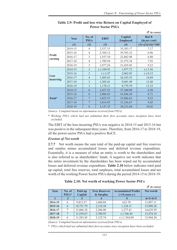|                          |         |                       |              |                            | $(3 \nvert n \text{ error})$ |
|--------------------------|---------|-----------------------|--------------|----------------------------|------------------------------|
|                          | Year    | No. of<br><b>PSUs</b> | <b>EBIT</b>  | Capital<br><b>Employed</b> | <b>RoCE</b><br>(in per cent) |
|                          | (1)     | (2)                   | (3)          | (4)                        | $(5)=$ {(3)/(4)}*100         |
|                          | 2014-15 | $\overline{4}$        | 2,537.15     | 35,383.17                  | 7.17                         |
|                          | 2015-16 | 4                     | 2,769.12     | 39,783.32                  | 6.96                         |
| <b>Profit</b><br>earning | 2016-17 | 3                     | 1,557.10     | 22,882.98                  | 6.80                         |
|                          | 2017-18 | 4                     | 1,709.54     | 21,575.18                  | 7.92                         |
|                          | 2018-19 | 3                     | 1,977.24     | 21,435.85                  | 9.22                         |
|                          | 2014-15 | $\overline{2}$        | $(-) 109.92$ | 1,977.72                   | $(-) 5.56$                   |
|                          | 2015-16 | $\overline{2}$        | $(-) 2.47$   | 2,062.92                   | $(-) 0.12$                   |
| Loss<br>incurring        | 2016-17 | $\overline{4}$        | 1,495.43     | 10,183.35                  | 14.69                        |
|                          | 2017-18 | 3                     | 1,305.41     | 9,681.49                   | 13.48                        |
|                          | 2018-19 | $\overline{3}$        | 1,170.11     | 8,779.79                   | 13.33                        |
|                          | 2014-15 | 6                     | 2,427.23     | 37,360.89                  | 6.50                         |
|                          | 2015-16 | 6                     | 2,806.65     | 41,846.24                  | 6.71                         |
| Total*                   | 2016-17 | 7                     | 3,025.53     | 33,066.63                  | 9.23                         |
|                          | 2017-18 | 7                     | 3,014.95     | 31,256.67                  | 9.65                         |
|                          | 2018-19 | 6                     | 3,147.35     | 30,215.64                  | 10.42                        |

## **Table 2.9: Profit and loss wise Return on Capital Employed of Power Sector PSUs**

*(Source: Compiled based on information received from PSUs)*

\* *Working PSUs which had not submitted their first accounts since inception have been excluded.*

The EBIT of the loss-incurring PSUs was negative in 2014-15 and 2015-16 but was positive in the subsequent three years. Therefore, from 2016-17 to 2018-19, all the power-sector PSUs had a positive RoCE.

## *Erosion of Net worth*

**2.7.7** Net worth means the sum total of the paid-up capital and free reserves and surplus minus accumulated losses and deferred revenue expenditure. Essentially, it is a measure of what an entity is worth to the shareholders and is also referred to as shareholders' funds. A negative net worth indicates that the entire investment by the shareholders has been wiped out by accumulated losses and deferred revenue expenditure. **Table 2.10** below indicates total paid up capital, total free reserves, total surpluses, total accumulated losses and net worth of the working Power Sector PSUs during the period 2014-15 to 2018-19:

| <b>Table 2.10: Net worth of working Power Sector PSUs</b> |  |  |  |  |  |
|-----------------------------------------------------------|--|--|--|--|--|
|-----------------------------------------------------------|--|--|--|--|--|

|         |                    |           |                      |                            | $(3 \nvert n \text{ error})$ |
|---------|--------------------|-----------|----------------------|----------------------------|------------------------------|
| Year    | No. of             | Paid up   | <b>Free Reserves</b> | <b>Accumulated Profits</b> | Net worth                    |
|         | PSU <sub>s</sub> * | Capital   | & Surplus            | $(+)/$ Losses $(-)$        |                              |
|         |                    |           |                      |                            | $6=3+4+5$                    |
| 2014-15 | 6                  | 9,812.57  | 1,460.84             | 623.70                     | 11,897.11                    |
| 2015-16 | 6                  | 10,751.79 | 2,110.38             | 1,128.11                   | 13,990.28                    |
| 2016-17 | 7                  | 11,066.18 | 2,286.00             | 1,277.41                   | 14,629.59                    |
| 2017-18 | 7                  | 11,539.67 | 2,700.95             | $-)766.44$                 | 13,474.18                    |
| 2018-19 | 6                  | 11,583.45 | 3,125.74             | $-)$ 1,764.89              | 12,944.30                    |

*(Source: Compiled based on information received from PSUs)*

\* *PSUs which had not submitted their first accounts since inception have been excluded.*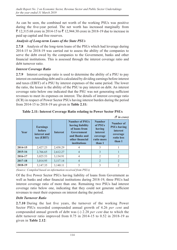As can be seen, the combined net worth of the working PSUs was positive during the five-year period. The net worth has increased marginally from  $\bar{\xi}$  12,315.68 crore in 2014-15 to  $\bar{\xi}$  12,944.30 crore in 2018-19 due to increase in paid up capital and free reserves.

## *Analysis of Long-term Loans of the State PSUs*

**2.7.8** Analysis of the long-term loans of the PSUs which had leverage during 2014-15 to 2018-19 was carried out to assess the ability of the companies to serve the debt owed by the companies to the Government, banks and other financial institutions. This is assessed through the interest coverage ratio and debt turnover ratio.

## *Interest Coverage Ratio*

**2.7.9** Interest coverage ratio is used to determine the ability of a PSU to pay interest on outstanding debt and is calculated by dividing earnings before interest and taxes (EBIT) of a PSU by interest expenses of the same period. The lower the ratio, the lesser is the ability of the PSU to pay interest on debt. An interest coverage ratio below one indicated that the PSU was not generating sufficient revenues to meet its expenses on interest. The details of interest coverage ratio (ICR) in respect of Power Sector PSUs having interest burden during the period from 2014-15 to 2018-19 are given in **Table 2.11:**

| $(3 \nvert n \text{ error})$ |                                                                |                 |                                                                                                                                     |                                                                                                       |                                                                                 |  |  |  |
|------------------------------|----------------------------------------------------------------|-----------------|-------------------------------------------------------------------------------------------------------------------------------------|-------------------------------------------------------------------------------------------------------|---------------------------------------------------------------------------------|--|--|--|
| <b>Year</b>                  | <b>Earnings</b><br><b>before</b><br>interest and<br>tax (EBIT) | <b>Interest</b> | <b>Number of PSUs</b><br>having liability<br>of loans from<br>Government<br>and Banks and<br>other financial<br><i>institutions</i> | <b>Number</b><br>of PSU <sub>s</sub><br>having<br><i>interest</i><br>coverage<br>ratio more<br>than 1 | Number of<br><b>PSUs having</b><br>interest<br>coverage<br>ratio less<br>than 1 |  |  |  |
| 2014-15                      | 2,427.23                                                       | 2,438.29        | 4                                                                                                                                   | 3                                                                                                     |                                                                                 |  |  |  |
| 2015-16                      | 2,766.65                                                       | 2,612.27        | $\overline{4}$                                                                                                                      | 3                                                                                                     |                                                                                 |  |  |  |
| 2016-17                      | 3,025.53                                                       | 3,134.91        | $\overline{4}$                                                                                                                      | $\overline{2}$                                                                                        | $\overline{2}$                                                                  |  |  |  |
| 2017-18                      | 3,014.95                                                       | 3,117.14        | $\overline{4}$                                                                                                                      | $\overline{2}$                                                                                        | $\overline{2}$                                                                  |  |  |  |
| 2018-19                      | 3,147.35                                                       | 3,140.11        | 5                                                                                                                                   | 3                                                                                                     | $\overline{2}$                                                                  |  |  |  |

## **Table 2.11: Interest Coverage Ratio relating to Power Sector PSUs**

*(Source: Compiled based on information received from PSUs)*

Of the five Power Sector PSUs having liability of loans from Government as well as banks and other financial institutions during 2018-19, three PSUs had interest coverage ratio of more than one. Remaining two PSUs had interest coverage ratio below one, indicating that they could not generate sufficient revenues to meet their expenses on interest during the period.

## *Debt Turnover Ratio*

**2.7.10** During the last five years, the turnover of the working Power Sector PSUs recorded compounded annual growth of 4.26 *per cent* and compounded annual growth of debt was (-) 2.28 *per cent* due to which the debt turnover ratio improved from 0.75 in 2014-15 to 0.52 in 2018-19 as given in **Table 2.12**: